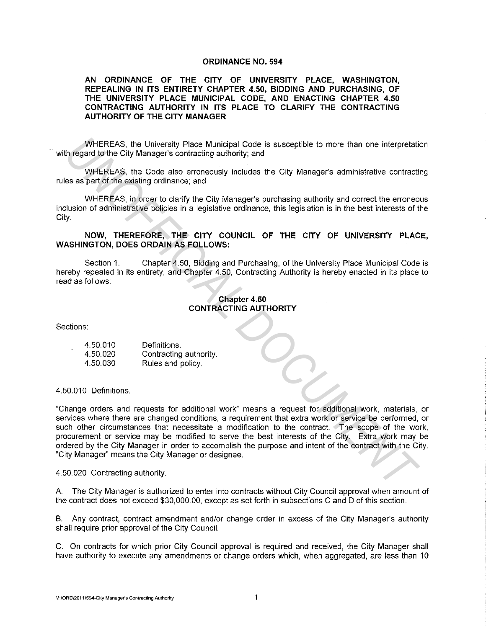## **ORDINANCE NO. 594**

**AN ORDINANCE OF THE CITY OF UNIVERSITY PLACE, WASHINGTON, REPEALING IN ITS ENTIRETY CHAPTER 4.50, BIDDING AND PURCHASING, OF THE UNIVERSITY PLACE MUNICIPAL CODE, AND ENACTING CHAPTER 4.50 CONTRACTING AUTHORITY IN ITS PLACE TO CLARIFY THE CONTRACTING AUTHORITY OF THE CITY MANAGER** 

WHEREAS, the University Place Municipal Code is susceptible to more than one interpretation with regard to the City Manager's contracting authority; and

WHEREAS, the Code also erroneously includes the City Manager's administrative contracting rules as part of the existing ordinance; and

WHEREAS, in order to clarify the City Manager's purchasing authority and correct the erroneous inclusion of administrative policies in a legislative ordinance, this legislation is in the best interests of the City.

## **NOW, THEREFORE, THE CITY COUNCIL OF THE CITY OF UNIVERSITY PLACE, WASHINGTON, DOES ORDAIN AS FOLLOWS:**

Section 1. Chapter 4.50, Bidding and Purchasing, of the University Place Municipal Code is hereby repealed in its entirety, and Chapter 4.50, Contracting Authority is hereby enacted in its place to read as follows:

## **Chapter 4.50 CONTRACTING AUTHORITY**

Sections:

| 4.50.010 | Definitions.           |
|----------|------------------------|
| 4.50.020 | Contracting authority. |
| 4.50.030 | Rules and policy.      |

4.50.010 Definitions.

"Change orders and requests for additional work" means a request for additional work, materials, or services where there are changed conditions, a requirement that extra work or service be performed, or such other circumstances that necessitate a modification to the contract. The scope of the work, procurement or service may be modified to serve the best interests of the City. Extra work may be ordered by the City Manager in order to accomplish the purpose and intent of the contract with the City. "City Manager' means the City Manager or designee. WHEREAS, the University Place Municipal Code is susceptible to more than one interpretation<br>
In regard to the City Manager's contracting sufforting sufforting and the City Manager's administrative contract<br>
Box WHEREAS, th

4.50.020 Contracting authority.

A. The City Manager is authorized to enter into contracts without City Council approval when amount of the contract does not exceed \$30,000.00, except as set forth in subsections C and D of this section.

B. Any contract, contract amendment and/or change order in excess of the City Manager's authority shall require prior approval of the City Council.

C. On contracts for which prior City Council approval is required and received, the City Manager shall have authority to execute any amendments or change orders which, when aggregated, are less than 10